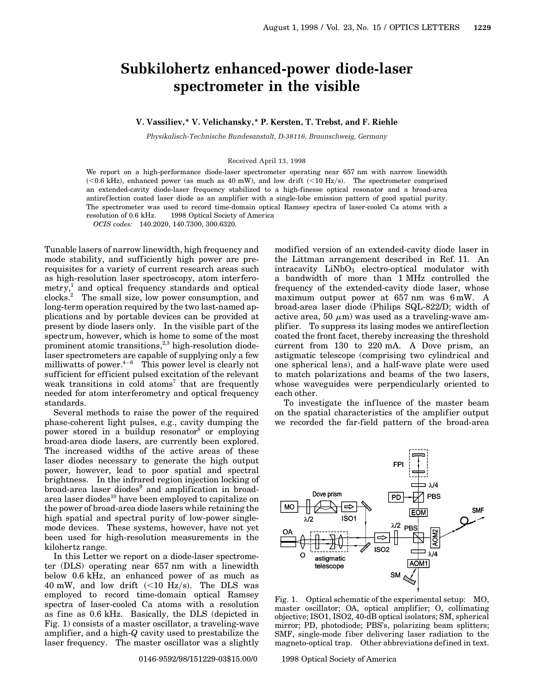## **Subkilohertz enhanced-power diode-laser spectrometer in the visible**

## **V. Vassiliev,\* V. Velichansky,\* P. Kersten, T. Trebst, and F. Riehle**

*Physikalisch-Technische Bundesanstalt, D-38116, Braunschweig, Germany*

## Received April 13, 1998

We report on a high-performance diode-laser spectrometer operating near 657 nm with narrow linewidth  $\sim$  (<0.6 kHz), enhanced power (as much as 40 mW), and low drift (<10 Hz/s). The spectrometer comprised an extended-cavity diode-laser frequency stabilized to a high-finesse optical resonator and a broad-area antiref lection coated laser diode as an amplifier with a single-lobe emission pattern of good spatial purity. The spectrometer was used to record time-domain optical Ramsey spectra of laser-cooled Ca atoms with a resolution of 0.6 kHz.  $\circ$  1998 Optical Society of America

*OCIS codes:* 140.2020, 140.7300, 300.6320.

Tunable lasers of narrow linewidth, high frequency and mode stability, and sufficiently high power are prerequisites for a variety of current research areas such as high-resolution laser spectroscopy, atom interferometry,<sup>1</sup> and optical frequency standards and optical clocks.<sup>2</sup> The small size, low power consumption, and long-term operation required by the two last-named applications and by portable devices can be provided at present by diode lasers only. In the visible part of the spectrum, however, which is home to some of the most prominent atomic transitions, $2,3$  high-resolution diodelaser spectrometers are capable of supplying only a few milliwatts of power.<sup>4–6</sup> This power level is clearly not sufficient for efficient pulsed excitation of the relevant weak transitions in cold atoms<sup>7</sup> that are frequently needed for atom interferometry and optical frequency standards.

Several methods to raise the power of the required phase-coherent light pulses, e.g., cavity dumping the power stored in a buildup resonator<sup>8</sup> or employing broad-area diode lasers, are currently been explored. The increased widths of the active areas of these laser diodes necessary to generate the high output power, however, lead to poor spatial and spectral brightness. In the infrared region injection locking of broad-area laser diodes<sup>9</sup> and amplification in broadarea laser diodes<sup>10</sup> have been employed to capitalize on the power of broad-area diode lasers while retaining the high spatial and spectral purity of low-power singlemode devices. These systems, however, have not yet been used for high-resolution measurements in the kilohertz range.

In this Letter we report on a diode-laser spectrometer (DLS) operating near 657 nm with a linewidth below 0.6 kHz, an enhanced power of as much as 40 mW, and low drift  $(<10 \text{ Hz/s})$ . The DLS was employed to record time-domain optical Ramsey spectra of laser-cooled Ca atoms with a resolution as fine as 0.6 kHz. Basically, the DLS (depicted in Fig. 1) consists of a master oscillator, a traveling-wave amplifier, and a high-*Q* cavity used to prestabilize the laser frequency. The master oscillator was a slightly

modified version of an extended-cavity diode laser in the Littman arrangement described in Ref. 11. An  $intracavity$   $LiNbO<sub>3</sub>$  electro-optical modulator with a bandwidth of more than 1 MHz controlled the frequency of the extended-cavity diode laser, whose maximum output power at 657 nm was 6 mW. A broad-area laser diode (Philips SQL-822/D; width of active area, 50  $\mu$ m) was used as a traveling-wave amplifier. To suppress its lasing modes we antireflection coated the front facet, thereby increasing the threshold current from 130 to 220 mA. A Dove prism, an astigmatic telescope (comprising two cylindrical and one spherical lens), and a half-wave plate were used to match polarizations and beams of the two lasers, whose waveguides were perpendicularly oriented to each other.

To investigate the inf luence of the master beam on the spatial characteristics of the amplifier output we recorded the far-field pattern of the broad-area



Fig. 1. Optical schematic of the experimental setup: MO, master oscillator; OA, optical amplifier; O, collimating objective; ISO1, ISO2, 40-dB optical isolators; SM, spherical mirror; PD, photodiode; PBS's, polarizing beam splitters; SMF, single-mode fiber delivering laser radiation to the magneto-optical trap. Other abbreviations defined in text.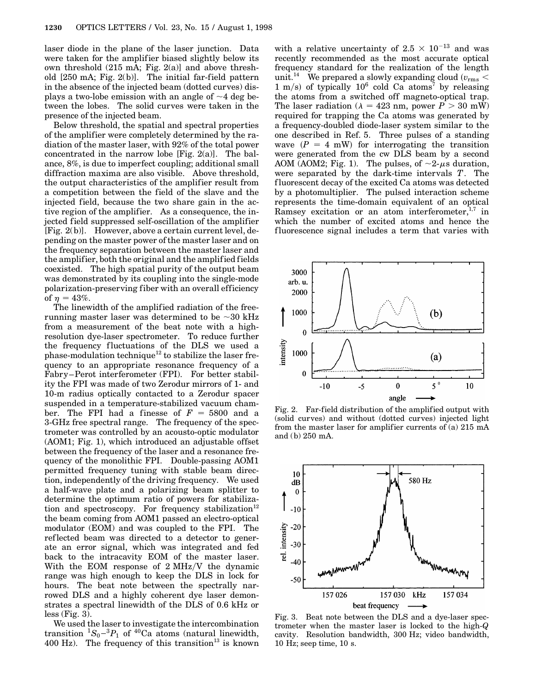laser diode in the plane of the laser junction. Data were taken for the amplifier biased slightly below its own threshold (215 mA; Fig. 2(a)] and above threshold [250 mA; Fig. 2(b)]. The initial far-field pattern in the absence of the injected beam (dotted curves) displays a two-lobe emission with an angle of  $\sim$ 4 deg between the lobes. The solid curves were taken in the presence of the injected beam.

Below threshold, the spatial and spectral properties of the amplifier were completely determined by the radiation of the master laser, with 92% of the total power concentrated in the narrow lobe [Fig.  $2(a)$ ]. The balance, 8%, is due to imperfect coupling; additional small diffraction maxima are also visible. Above threshold, the output characteristics of the amplifier result from a competition between the field of the slave and the injected field, because the two share gain in the active region of the amplifier. As a consequence, the injected field suppressed self-oscillation of the amplifier [Fig. 2(b)]. However, above a certain current level, depending on the master power of the master laser and on the frequency separation between the master laser and the amplifier, both the original and the amplified fields coexisted. The high spatial purity of the output beam was demonstrated by its coupling into the single-mode polarization-preserving fiber with an overall efficiency of  $n = 43%$ .

The linewidth of the amplified radiation of the freerunning master laser was determined to be  $\sim$  30 kHz from a measurement of the beat note with a highresolution dye-laser spectrometer. To reduce further the frequency fluctuations of the DLS we used a  $\frac{1}{2}$  the modulation technique<sup>12</sup> to stabilize the laser frequency to an appropriate resonance frequency of a Fabry–Perot interferometer (FPI). For better stability the FPI was made of two Zerodur mirrors of 1- and 10-m radius optically contacted to a Zerodur spacer suspended in a temperature-stabilized vacuum chamber. The FPI had a finesse of  $F = 5800$  and a 3-GHz free spectral range. The frequency of the spectrometer was controlled by an acousto-optic modulator (AOM1; Fig. 1), which introduced an adjustable offset between the frequency of the laser and a resonance frequency of the monolithic FPI. Double-passing AOM1 permitted frequency tuning with stable beam direction, independently of the driving frequency. We used a half-wave plate and a polarizing beam splitter to determine the optimum ratio of powers for stabilization and spectroscopy. For frequency stabilization<sup>12</sup> the beam coming from AOM1 passed an electro-optical modulator (EOM) and was coupled to the FPI. The reflected beam was directed to a detector to generate an error signal, which was integrated and fed back to the intracavity EOM of the master laser. With the EOM response of  $2 MHz/V$  the dynamic range was high enough to keep the DLS in lock for hours. The beat note between the spectrally narrowed DLS and a highly coherent dye laser demonstrates a spectral linewidth of the DLS of 0.6 kHz or  $less (Fig. 3).$ 

We used the laser to investigate the intercombination transition  ${}^{1}S_{0} - {}^{3}P_{1}$  of <sup>40</sup>Ca atoms (natural linewidth, 400 Hz). The frequency of this transition<sup>13</sup> is known

with a relative uncertainty of  $2.5 \times 10^{-13}$  and was recently recommended as the most accurate optical frequency standard for the realization of the length unit.<sup>14</sup> We prepared a slowly expanding cloud  $(v_{\rm rms}$   $<$ 1 m/s) of typically  $10^6$  cold Ca atoms<sup>7</sup> by releasing the atoms from a switched off magneto-optical trap. The laser radiation ( $\lambda = 423$  nm, power  $P > 30$  mW) required for trapping the Ca atoms was generated by a frequency-doubled diode-laser system similar to the one described in Ref. 5. Three pulses of a standing wave  $(P = 4$  mW) for interrogating the transition were generated from the cw DLS beam by a second AOM (AOM2; Fig. 1). The pulses, of  $\sim$ 2- $\mu$ s duration, were separated by the dark-time intervals *T*. The fluorescent decay of the excited Ca atoms was detected by a photomultiplier. The pulsed interaction scheme represents the time-domain equivalent of an optical Ramsey excitation or an atom interferometer, $1,7$  in which the number of excited atoms and hence the fluorescence signal includes a term that varies with



Fig. 2. Far-field distribution of the amplified output with (solid curves) and without (dotted curves) injected light from the master laser for amplifier currents of (a) 215 mA and (b) 250 mA.



Fig. 3. Beat note between the DLS and a dye-laser spectrometer when the master laser is locked to the high-*Q* cavity. Resolution bandwidth, 300 Hz; video bandwidth, 10 Hz; seep time, 10 s.